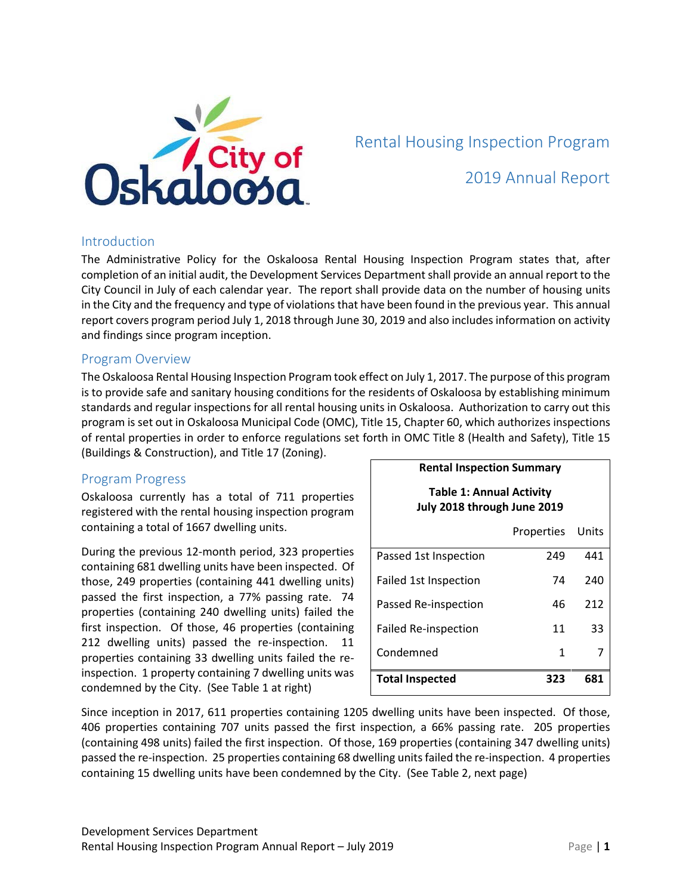

# 2019 Annual Report

#### Introduction

The Administrative Policy for the Oskaloosa Rental Housing Inspection Program states that, after completion of an initial audit, the Development Services Department shall provide an annual report to the City Council in July of each calendar year. The report shall provide data on the number of housing units in the City and the frequency and type of violations that have been found in the previous year. This annual report covers program period July 1, 2018 through June 30, 2019 and also includes information on activity and findings since program inception.

#### Program Overview

The Oskaloosa Rental Housing Inspection Program took effect on July 1, 2017. The purpose of this program is to provide safe and sanitary housing conditions for the residents of Oskaloosa by establishing minimum standards and regular inspections for all rental housing units in Oskaloosa. Authorization to carry out this program is set out in Oskaloosa Municipal Code (OMC), Title 15, Chapter 60, which authorizes inspections of rental properties in order to enforce regulations set forth in OMC Title 8 (Health and Safety), Title 15 (Buildings & Construction), and Title 17 (Zoning).

# Program Progress

Oskaloosa currently has a total of 711 properties registered with the rental housing inspection program containing a total of 1667 dwelling units.

During the previous 12-month period, 323 properties containing 681 dwelling units have been inspected. Of those, 249 properties (containing 441 dwelling units) passed the first inspection, a 77% passing rate. 74 properties (containing 240 dwelling units) failed the first inspection. Of those, 46 properties (containing 212 dwelling units) passed the re-inspection. 11 properties containing 33 dwelling units failed the reinspection. 1 property containing 7 dwelling units was condemned by the City. (See Table 1 at right)

| <b>Rental Inspection Summary</b><br><b>Table 1: Annual Activity</b><br>July 2018 through June 2019 |     |     |
|----------------------------------------------------------------------------------------------------|-----|-----|
|                                                                                                    |     |     |
| Passed 1st Inspection                                                                              | 249 | 441 |
| Failed 1st Inspection                                                                              | 74  | 240 |
| Passed Re-inspection                                                                               | 46  | 212 |
| Failed Re-inspection                                                                               | 11  | 33  |
|                                                                                                    |     |     |

Condemned 1 7 **Total Inspected 323 681**

Since inception in 2017, 611 properties containing 1205 dwelling units have been inspected. Of those, 406 properties containing 707 units passed the first inspection, a 66% passing rate. 205 properties (containing 498 units) failed the first inspection. Of those, 169 properties (containing 347 dwelling units) passed the re-inspection. 25 properties containing 68 dwelling units failed the re-inspection. 4 properties containing 15 dwelling units have been condemned by the City. (See Table 2, next page)